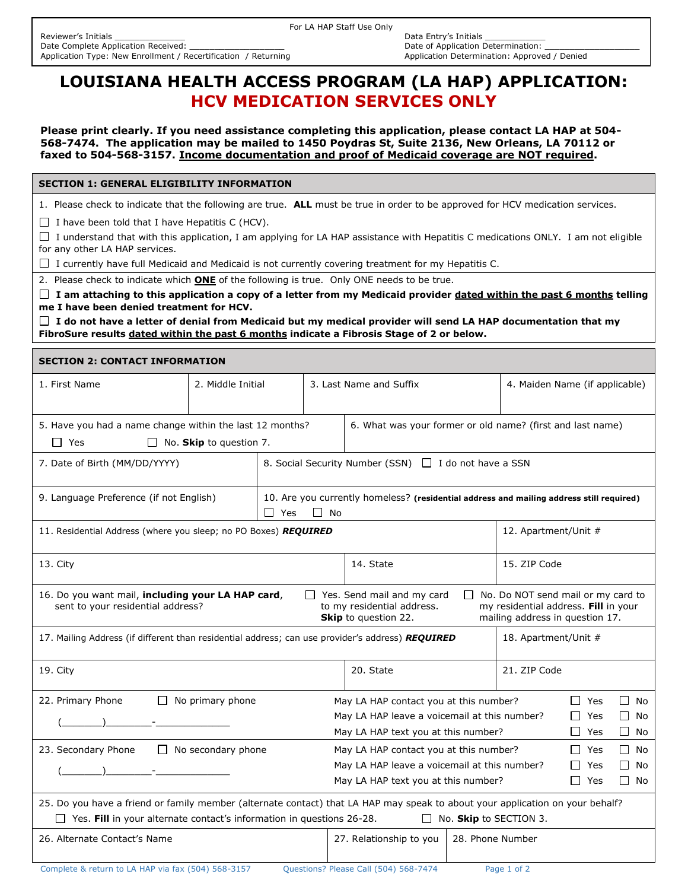## **LOUISIANA HEALTH ACCESS PROGRAM (LA HAP) APPLICATION: HCV MEDICATION SERVICES ONLY**

**Please print clearly. If you need assistance completing this application, please contact LA HAP at 504- 568-7474. The application may be mailed to 1450 Poydras St, Suite 2136, New Orleans, LA 70112 or faxed to 504-568-3157. Income documentation and proof of Medicaid coverage are NOT required.** 

**SECTION 1: GENERAL ELIGIBILITY INFORMATION**

1. Please check to indicate that the following are true. **ALL** must be true in order to be approved for HCV medication services.

 $\Box$  I have been told that I have Hepatitis C (HCV).

I understand that with this application, I am applying for LA HAP assistance with Hepatitis C medications ONLY. I am not eligible for any other LA HAP services.

 $\Box$  I currently have full Medicaid and Medicaid is not currently covering treatment for my Hepatitis C.

2. Please check to indicate which **ONE** of the following is true. Only ONE needs to be true.

 **I am attaching to this application a copy of a letter from my Medicaid provider dated within the past 6 months telling me I have been denied treatment for HCV.**

 **I do not have a letter of denial from Medicaid but my medical provider will send LA HAP documentation that my FibroSure results dated within the past 6 months indicate a Fibrosis Stage of 2 or below.**

## **SECTION 2: CONTACT INFORMATION**

| 1. First Name                                                                                                                                                                                                                                                                                                                                       | 2. Middle Initial |                                                                                                                 | 3. Last Name and Suffix                                                        |                  | 4. Maiden Name (if applicable) |            |               |  |
|-----------------------------------------------------------------------------------------------------------------------------------------------------------------------------------------------------------------------------------------------------------------------------------------------------------------------------------------------------|-------------------|-----------------------------------------------------------------------------------------------------------------|--------------------------------------------------------------------------------|------------------|--------------------------------|------------|---------------|--|
|                                                                                                                                                                                                                                                                                                                                                     |                   |                                                                                                                 |                                                                                |                  |                                |            |               |  |
| 5. Have you had a name change within the last 12 months?                                                                                                                                                                                                                                                                                            |                   |                                                                                                                 | 6. What was your former or old name? (first and last name)                     |                  |                                |            |               |  |
| □ Yes<br>$\Box$ No. <b>Skip</b> to question 7.                                                                                                                                                                                                                                                                                                      |                   |                                                                                                                 |                                                                                |                  |                                |            |               |  |
| 7. Date of Birth (MM/DD/YYYY)                                                                                                                                                                                                                                                                                                                       |                   | 8. Social Security Number (SSN) □ I do not have a SSN                                                           |                                                                                |                  |                                |            |               |  |
| 9. Language Preference (if not English)                                                                                                                                                                                                                                                                                                             |                   | 10. Are you currently homeless? (residential address and mailing address still required)<br>$\Box$ Yes<br>II No |                                                                                |                  |                                |            |               |  |
| 11. Residential Address (where you sleep; no PO Boxes) REQUIRED                                                                                                                                                                                                                                                                                     |                   |                                                                                                                 |                                                                                |                  | 12. Apartment/Unit #           |            |               |  |
| 13. City                                                                                                                                                                                                                                                                                                                                            |                   |                                                                                                                 | 14. State                                                                      |                  | 15. ZIP Code                   |            |               |  |
| 16. Do you want mail, including your LA HAP card,<br>$\Box$ No. Do NOT send mail or my card to<br>$\Box$ Yes. Send mail and my card<br>sent to your residential address?<br>to my residential address.<br>my residential address. Fill in your<br>Skip to question 22.<br>mailing address in question 17.                                           |                   |                                                                                                                 |                                                                                |                  |                                |            |               |  |
| 17. Mailing Address (if different than residential address; can use provider's address) REQUIRED<br>18. Apartment/Unit #                                                                                                                                                                                                                            |                   |                                                                                                                 |                                                                                |                  |                                |            |               |  |
| 19. City                                                                                                                                                                                                                                                                                                                                            |                   |                                                                                                                 | 20. State<br>21. ZIP Code                                                      |                  |                                |            |               |  |
| $\Box$ No primary phone<br>22. Primary Phone                                                                                                                                                                                                                                                                                                        |                   |                                                                                                                 | May LA HAP contact you at this number?<br>$\Box$ Yes<br>□ No                   |                  |                                |            |               |  |
| $\begin{picture}(20,10) \put(0,0){\line(1,0){10}} \put(15,0){\line(1,0){10}} \put(15,0){\line(1,0){10}} \put(15,0){\line(1,0){10}} \put(15,0){\line(1,0){10}} \put(15,0){\line(1,0){10}} \put(15,0){\line(1,0){10}} \put(15,0){\line(1,0){10}} \put(15,0){\line(1,0){10}} \put(15,0){\line(1,0){10}} \put(15,0){\line(1,0){10}} \put(15,0){\line(1$ |                   |                                                                                                                 | May LA HAP leave a voicemail at this number?                                   |                  |                                | $\Box$ Yes | No<br>$\perp$ |  |
|                                                                                                                                                                                                                                                                                                                                                     |                   |                                                                                                                 | May LA HAP text you at this number?                                            |                  |                                | $\Box$ Yes | П<br>No       |  |
| 23. Secondary Phone<br>$\Box$ No secondary phone<br>May LA HAP contact you at this number?                                                                                                                                                                                                                                                          |                   |                                                                                                                 |                                                                                |                  |                                | $\Box$ Yes | $\Box$<br>No  |  |
|                                                                                                                                                                                                                                                                                                                                                     |                   |                                                                                                                 | May LA HAP leave a voicemail at this number?<br>$\Box$<br>Yes<br>$\perp$<br>No |                  |                                |            |               |  |
|                                                                                                                                                                                                                                                                                                                                                     |                   |                                                                                                                 | May LA HAP text you at this number?                                            |                  |                                | $\Box$ Yes | $\Box$<br>No  |  |
| 25. Do you have a friend or family member (alternate contact) that LA HAP may speak to about your application on your behalf?                                                                                                                                                                                                                       |                   |                                                                                                                 |                                                                                |                  |                                |            |               |  |
| $\Box$ Yes. Fill in your alternate contact's information in questions 26-28.<br>$\Box$ No. <b>Skip</b> to SECTION 3.                                                                                                                                                                                                                                |                   |                                                                                                                 |                                                                                |                  |                                |            |               |  |
| 26. Alternate Contact's Name                                                                                                                                                                                                                                                                                                                        |                   |                                                                                                                 | 27. Relationship to you                                                        | 28. Phone Number |                                |            |               |  |
| Questions? Please Call (504) 568-7474<br>Complete & return to LA HAP via fax (504) 568-3157<br>Page 1 of 2                                                                                                                                                                                                                                          |                   |                                                                                                                 |                                                                                |                  |                                |            |               |  |